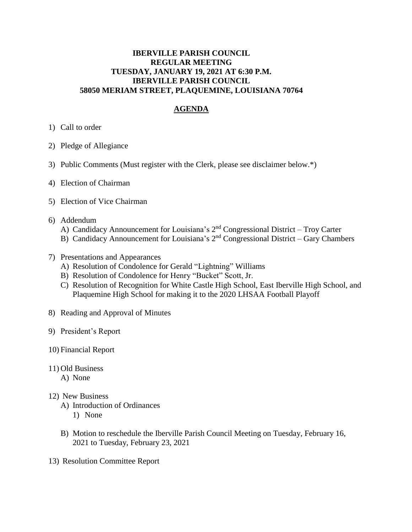## **IBERVILLE PARISH COUNCIL REGULAR MEETING TUESDAY, JANUARY 19, 2021 AT 6:30 P.M. IBERVILLE PARISH COUNCIL 58050 MERIAM STREET, PLAQUEMINE, LOUISIANA 70764**

## **AGENDA**

- 1) Call to order
- 2) Pledge of Allegiance
- 3) Public Comments (Must register with the Clerk, please see disclaimer below.\*)
- 4) Election of Chairman
- 5) Election of Vice Chairman
- 6) Addendum
	- A) Candidacy Announcement for Louisiana's 2<sup>nd</sup> Congressional District Troy Carter
	- B) Candidacy Announcement for Louisiana's 2<sup>nd</sup> Congressional District Gary Chambers
- 7) Presentations and Appearances
	- A) Resolution of Condolence for Gerald "Lightning" Williams
	- B) Resolution of Condolence for Henry "Bucket" Scott, Jr.
	- C) Resolution of Recognition for White Castle High School, East Iberville High School, and Plaquemine High School for making it to the 2020 LHSAA Football Playoff
- 8) Reading and Approval of Minutes
- 9) President's Report
- 10) Financial Report
- 11) Old Business
	- A) None

## 12) New Business

- A) Introduction of Ordinances
	- 1) None
- B) Motion to reschedule the Iberville Parish Council Meeting on Tuesday, February 16, 2021 to Tuesday, February 23, 2021
- 13) Resolution Committee Report